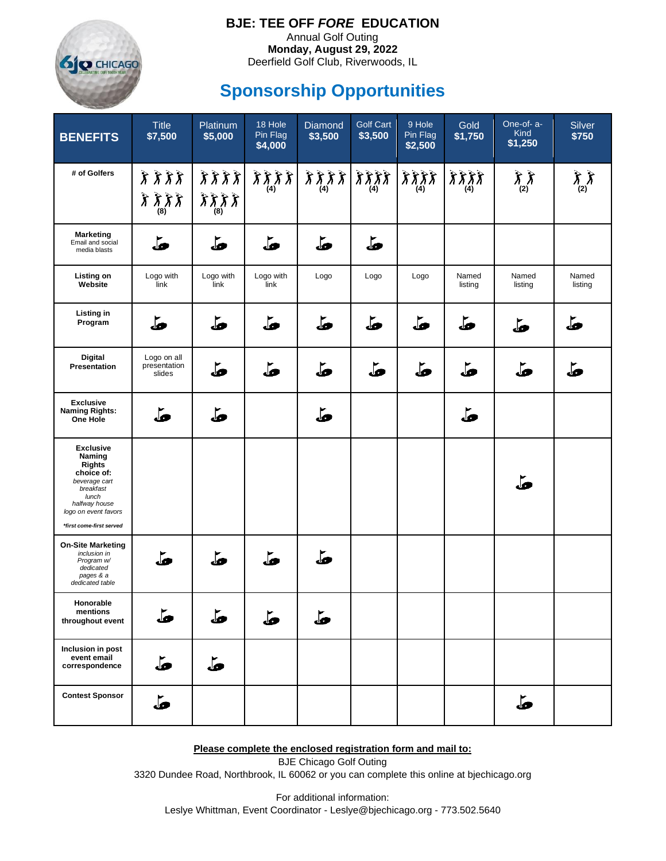

## **BJE: TEE OFF** *FORE* **EDUCATION**

Annual Golf Outing **Monday, August 29, 2022** Deerfield Golf Club, Riverwoods, IL

## **Sponsorship Opportunities**

| <b>BENEFITS</b>                                                                                                                                                       | <b>Title</b><br>\$7,500               | Platinum<br>\$5,000                               | 18 Hole<br>Pin Flag<br>\$4,000 | Diamond<br>\$3,500                                                                           | <b>Golf Cart</b><br>\$3,500 | 9 Hole<br>Pin Flag<br>\$2,500                                    | Gold<br>\$1,750  | One-of- a-<br>Kind<br>\$1,250 | Silver<br>\$750  |
|-----------------------------------------------------------------------------------------------------------------------------------------------------------------------|---------------------------------------|---------------------------------------------------|--------------------------------|----------------------------------------------------------------------------------------------|-----------------------------|------------------------------------------------------------------|------------------|-------------------------------|------------------|
| # of Golfers                                                                                                                                                          | ようよう<br>よよよよ<br>(8)                   | $\hat{\chi} \hat{\chi} \hat{\chi}$<br>うううう<br>(8) | 3337<br>(4)                    | $\hat{\chi}\hat{\chi}\hat{\chi}\hat{\chi}\left \hat{\chi}\hat{\chi}\hat{\chi}\right.$<br>(4) | (4)                         | $\hat{\lambda} \hat{\lambda} \hat{\lambda} \hat{\lambda}$<br>(4) | ええええ<br>(4)      | रें रें<br>(2)                | おお<br>(2)        |
| <b>Marketing</b><br>Email and social<br>media blasts                                                                                                                  | فآ                                    | فه                                                | فآ                             | قه                                                                                           | فآ                          |                                                                  |                  |                               |                  |
| <b>Listing on</b><br>Website                                                                                                                                          | Logo with<br>link                     | Logo with<br>link                                 | Logo with<br>link              | Logo                                                                                         | Logo                        | Logo                                                             | Named<br>listing | Named<br>listing              | Named<br>listing |
| Listing in<br>Program                                                                                                                                                 | فآ                                    | فه                                                | قه                             | طَ                                                                                           | ھا                          | فآ                                                               | قه               | مآه                           | قه               |
| <b>Digital</b><br>Presentation                                                                                                                                        | Logo on all<br>presentation<br>slides | طَ                                                | فآ                             | قه                                                                                           | قه                          | طَ                                                               | یلی              | طَّ                           | ھا               |
| <b>Exclusive</b><br><b>Naming Rights:</b><br>One Hole                                                                                                                 | یلی                                   | فه                                                |                                | فا                                                                                           |                             |                                                                  | فآ               |                               |                  |
| <b>Exclusive</b><br>Naming<br><b>Rights</b><br>choice of:<br>beverage cart<br>breakfast<br>lunch<br>halfway house<br>logo on event favors<br>*first come-first served |                                       |                                                   |                                |                                                                                              |                             |                                                                  |                  | ھا                            |                  |
| <b>On-Site Marketing</b><br>inclusion in<br>Program w/<br>dedicated<br>pages & a<br>dedicated table                                                                   | فآ                                    | فآ                                                | فآ                             | فآ                                                                                           |                             |                                                                  |                  |                               |                  |
| Honorable<br>mentions<br>throughout event                                                                                                                             | فآ                                    | ط                                                 | ھه                             | قه                                                                                           |                             |                                                                  |                  |                               |                  |
| Inclusion in post<br>event email<br>correspondence                                                                                                                    | مآه                                   | فآه                                               |                                |                                                                                              |                             |                                                                  |                  |                               |                  |
| <b>Contest Sponsor</b>                                                                                                                                                | فآ                                    |                                                   |                                |                                                                                              |                             |                                                                  |                  | طَ                            |                  |

**Please complete the enclosed registration form and mail to:**

BJE Chicago Golf Outing 3320 Dundee Road, Northbrook, IL 60062 or you can complete this online at bjechicago.org

For additional information: Leslye Whittman, Event Coordinator - Leslye@bjechicago.org - 773.502.5640